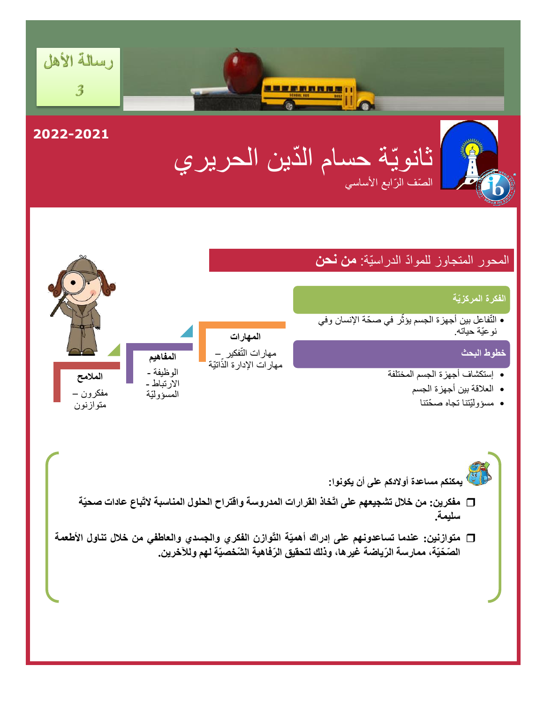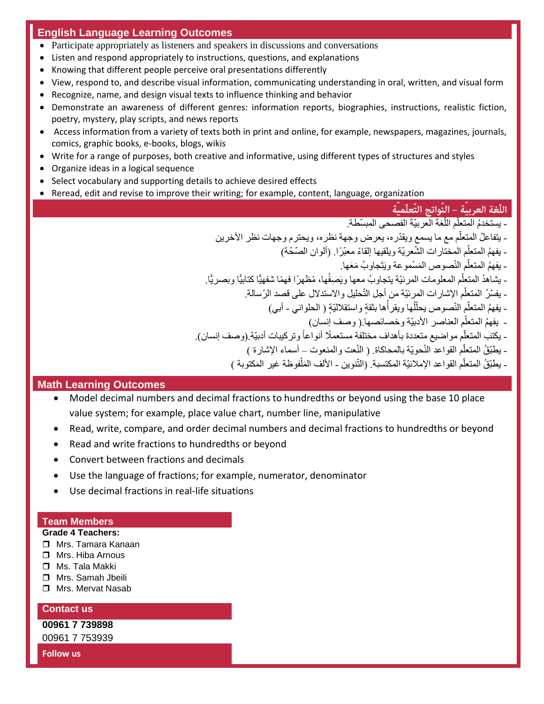## **English Language Learning Outcomes**

- Participate appropriately as listeners and speakers in discussions and conversations
- Listen and respond appropriately to instructions, questions, and explanations
- Knowing that different people perceive oral presentations differently
- View, respond to, and describe visual information, communicating understanding in oral, written, and visual form
- Recognize, name, and design visual texts to influence thinking and behavior
- Demonstrate an awareness of different genres: information reports, biographies, instructions, realistic fiction, poetry, mystery, play scripts, and news reports
- Access information from a variety of texts both in print and online, for example, newspapers, magazines, journals, comics, graphic books, e-books, blogs, wikis
- Write for a range of purposes, both creative and informative, using different types of structures and styles
- Organize ideas in a logical sequence
- Select vocabulary and supporting details to achieve desired effects
- Reread, edit and revise to improve their writing; for example, content, language, organization

# اللّغة العربيّة – النّواتج التّعلّميّة

- يستخدمُ المتعلّم اللّغةَ العربيّةَ الفصحى المبسّطة. ֧֦֧֦֦֧֧֧֧֧֧֡֩֕֓֓֕֓֓֬֓֓֓֓֬֓֓֩֕֓֓֬֓֓֓֬֓֓֩֕֓֩֓֩֓֓֓֓֡֩֓֓֡֡֡֬֩֓֩֓֩֓֩֓֩֓֩֓֩֓֩֓֩֓֞֩֞ ֧֞<u>֚</u>

- يتفاعلُ المتعلّم مع ما يسمع ويقدّره، يعرض وجهة نظره، ويحترم وجهات نظر الأخرين

- ـ يفهمُ المنعلّم المختار ات الشّعريّة ويلقيها إلقاءً معبّرًا. (ألوان الصّحّة) j
	- يفهمُ المتعلَّم النّصوص المَسْموعة ويَتَجاوبُ مَعَها. j
- ـ يشاهدُ المتعلَّم المعلومات المرئيّة يتجاوبُ معها ويَصِفُها، مُظهرًا فهمًا شفهيًّا كتابيًّا وبصريًّا ـ
	- ـ يفسّرُ المتعلّم الإشارات المرئيّة من أجل التّحليل والاستدلال على قصد الرّسالة. j
		- ـ يفهمُ المتعلَّم النّصوص يحلِّلُها ويقر أها بثقةٍ واستقلاليّةٍ ( الحلواني أبي) j اً ُ ُ
			- يفهمُ المتعلّم العناصر الأدبيّة وخصائصها.( وصف إنسان)
- يكتب المتعلّم مواضيع متعددة بأهداف مختلفة مستعملًا أنواعاً وتركيبات أدبيّة (وصف إنسان). ٳ ĺ
	- ـ يطبّقُ المتعلّم القواعد النّحويّة بالمحاكاة. ( النّعت والمنعوت ــ أسماء الإشارة )
	- ـ يطبّقُ المتعلّم القواعد الإملائيّة المكتسبة. (النّنوين ـ الألف المَلْفوظة غير المَكتوبة ) ْ

### **Math Learning Outcomes**

- Model decimal numbers and decimal fractions to hundredths or beyond using the base 10 place value system; for example, place value chart, number line, manipulative
- Read, write, compare, and order decimal numbers and decimal fractions to hundredths or beyond
- Read and write fractions to hundredths or beyond
- Convert between fractions and decimals
- Use the language of fractions; for example, numerator, denominator
- Use decimal fractions in real-life situations

#### **Team Members**

#### **Grade 4 Teachers:**

- **T** Mrs. Tamara Kanaan
- □ Mrs. Hiba Arnous
- □ Ms. Tala Makki
- **D** Mrs. Samah Jbeili
- □ Mrs. Mervat Nasab

#### **Contact us**

**00961 7 739898** 00961 7 753939

**Follow us**